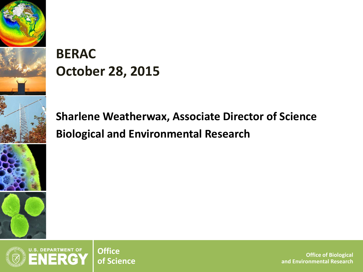

# **BERAC October 28, 2015**

**Sharlene Weatherwax, Associate Director of Science Biological and Environmental Research**



**of Science Office of Biological and Environmental Research**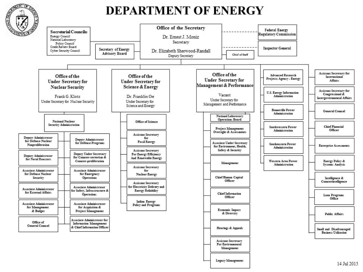

## **DEPARTMENT OF ENERGY**



2 **BERAC October 2015 Department of Energy • Office of Science • Biological and Environmental Research**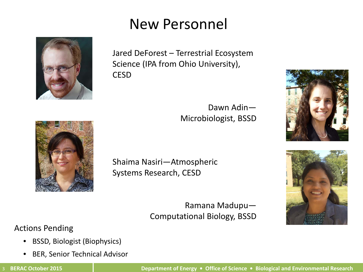# New Personnel



Jared DeForest – Terrestrial Ecosystem Science (IPA from Ohio University), **CESD** 





Shaima Nasiri—Atmospheric Systems Research, CESD

Ramana Madupu— Computational Biology, BSSD

### Actions Pending

- BSSD, Biologist (Biophysics)
- BER, Senior Technical Advisor

Dawn Adin—

Microbiologist, BSSD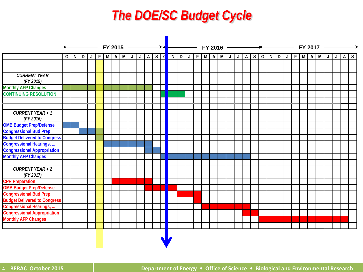# *The DOE/SC Budget Cycle*

|                                      | FY 2015<br>_____ |                                  |  |   | $FY$ 2016 $\longrightarrow$ |             |       |          |   |  |       |   |  |                     | FY 2017 |  |  |                           |  |  |  |  |  |      |  |             |            |  |
|--------------------------------------|------------------|----------------------------------|--|---|-----------------------------|-------------|-------|----------|---|--|-------|---|--|---------------------|---------|--|--|---------------------------|--|--|--|--|--|------|--|-------------|------------|--|
|                                      |                  | $O\left[N\left D\right J\right]$ |  | F | MA                          | $L$ $ L $ M | $A$ S | <b>d</b> | N |  | D   J | F |  | $M$ $A$ $M$ $J$ $J$ |         |  |  | A   S   O   N   D   J   F |  |  |  |  |  | MAMJ |  | $\mathsf J$ | $A \mid S$ |  |
|                                      |                  |                                  |  |   |                             |             |       |          |   |  |       |   |  |                     |         |  |  |                           |  |  |  |  |  |      |  |             |            |  |
|                                      |                  |                                  |  |   |                             |             |       |          |   |  |       |   |  |                     |         |  |  |                           |  |  |  |  |  |      |  |             |            |  |
| <b>CURRENT YEAR</b><br>(FY 2015)     |                  |                                  |  |   |                             |             |       |          |   |  |       |   |  |                     |         |  |  |                           |  |  |  |  |  |      |  |             |            |  |
| <b>Monthly AFP Changes</b>           |                  |                                  |  |   |                             |             |       |          |   |  |       |   |  |                     |         |  |  |                           |  |  |  |  |  |      |  |             |            |  |
| <b>CONTINUING RESOLUTION</b>         |                  |                                  |  |   |                             |             |       |          |   |  |       |   |  |                     |         |  |  |                           |  |  |  |  |  |      |  |             |            |  |
|                                      |                  |                                  |  |   |                             |             |       |          |   |  |       |   |  |                     |         |  |  |                           |  |  |  |  |  |      |  |             |            |  |
|                                      |                  |                                  |  |   |                             |             |       |          |   |  |       |   |  |                     |         |  |  |                           |  |  |  |  |  |      |  |             |            |  |
| <b>CURRENT YEAR + 1</b><br>(FY 2016) |                  |                                  |  |   |                             |             |       |          |   |  |       |   |  |                     |         |  |  |                           |  |  |  |  |  |      |  |             |            |  |
| <b>OMB Budget Prep/Defense</b>       |                  |                                  |  |   |                             |             |       |          |   |  |       |   |  |                     |         |  |  |                           |  |  |  |  |  |      |  |             |            |  |
| <b>Congressional Bud Prep</b>        |                  |                                  |  |   |                             |             |       |          |   |  |       |   |  |                     |         |  |  |                           |  |  |  |  |  |      |  |             |            |  |
| <b>Budget Delivered to Congress</b>  |                  |                                  |  |   |                             |             |       |          |   |  |       |   |  |                     |         |  |  |                           |  |  |  |  |  |      |  |             |            |  |
| <b>Congressional Hearings, </b>      |                  |                                  |  |   |                             |             |       |          |   |  |       |   |  |                     |         |  |  |                           |  |  |  |  |  |      |  |             |            |  |
| <b>Congressional Appropriation</b>   |                  |                                  |  |   |                             |             |       |          |   |  |       |   |  |                     |         |  |  |                           |  |  |  |  |  |      |  |             |            |  |
| <b>Monthly AFP Changes</b>           |                  |                                  |  |   |                             |             |       |          |   |  |       |   |  |                     |         |  |  |                           |  |  |  |  |  |      |  |             |            |  |
|                                      |                  |                                  |  |   |                             |             |       |          |   |  |       |   |  |                     |         |  |  |                           |  |  |  |  |  |      |  |             |            |  |
| <b>CURRENT YEAR + 2</b><br>(FY 2017) |                  |                                  |  |   |                             |             |       |          |   |  |       |   |  |                     |         |  |  |                           |  |  |  |  |  |      |  |             |            |  |
| <b>CPR Preparation</b>               |                  |                                  |  |   |                             |             |       |          |   |  |       |   |  |                     |         |  |  |                           |  |  |  |  |  |      |  |             |            |  |
| <b>OMB Budget Prep/Defense</b>       |                  |                                  |  |   |                             |             |       |          |   |  |       |   |  |                     |         |  |  |                           |  |  |  |  |  |      |  |             |            |  |
| <b>Congressional Bud Prep</b>        |                  |                                  |  |   |                             |             |       |          |   |  |       |   |  |                     |         |  |  |                           |  |  |  |  |  |      |  |             |            |  |
| <b>Budget Delivered to Congress</b>  |                  |                                  |  |   |                             |             |       |          |   |  |       |   |  |                     |         |  |  |                           |  |  |  |  |  |      |  |             |            |  |
| Congressional Hearings,              |                  |                                  |  |   |                             |             |       |          |   |  |       |   |  |                     |         |  |  |                           |  |  |  |  |  |      |  |             |            |  |
| <b>Congressional Appropriation</b>   |                  |                                  |  |   |                             |             |       |          |   |  |       |   |  |                     |         |  |  |                           |  |  |  |  |  |      |  |             |            |  |
| <b>Monthly AFP Changes</b>           |                  |                                  |  |   |                             |             |       |          |   |  |       |   |  |                     |         |  |  |                           |  |  |  |  |  |      |  |             |            |  |
|                                      |                  |                                  |  |   |                             |             |       |          |   |  |       |   |  |                     |         |  |  |                           |  |  |  |  |  |      |  |             |            |  |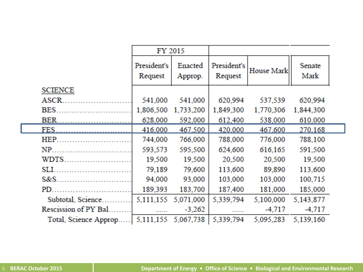|                        | FY 2015                |                    |                        |            |                |  |
|------------------------|------------------------|--------------------|------------------------|------------|----------------|--|
|                        | President's<br>Request | Enacted<br>Approp. | President's<br>Request | House Mark | Senate<br>Mark |  |
| <b>SCIENCE</b>         |                        |                    |                        |            |                |  |
| ASCR.                  | 541,000                | 541,000            | 620,994                | 537,539    | 620,994        |  |
| BES.                   | 1,806,500              | 1,733,200          | 1,849,300              | 1,770,306  | 1,844,300      |  |
| BER.                   | 628,000                | 592,000            | 612,400                | 538,000    | 610,000        |  |
| FES.                   | 416,000                | 467.500            | 420,000                | 467,600    | 270.168        |  |
| HEP.                   | 744,000                | 766,000            | 788,000                | 776,000    | 788,100        |  |
| NP                     | 593,573                | 595,500            | 624,600                | 616,165    | 591,500        |  |
| <b>WDTS</b>            | 19,500                 | 19,500             | 20,500                 | 20,500     | 19,500         |  |
| SLI.                   | 79,189                 | 79,600             | 113,600                | 89,890     | 113,600        |  |
| $S&S$                  | 94,000                 | 93,000             | 103,000                | 103,000    | 100,715        |  |
| PD.                    | 189,393                | 183,700            | 187,400                | 181,000    | 185,000        |  |
| Subtotal, Science.     | 5,111,155              | 5,071,000          | 5,339,794              | 5,100,000  | 5,143,877      |  |
| Rescission of PY Bal.  |                        | $-3,262$           |                        | $-4,717$   | $-4,717$       |  |
| Total, Science Approp. | 5,111,155              | 5,067,738          | 5,339,794              | 5,095,283  | 5,139,160      |  |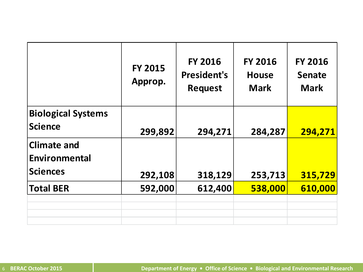|                                                        | <b>FY 2015</b><br>Approp. | <b>FY 2016</b><br><b>President's</b><br><b>Request</b> | <b>FY 2016</b><br><b>House</b><br><b>Mark</b> | <b>FY 2016</b><br><b>Senate</b><br><b>Mark</b> |
|--------------------------------------------------------|---------------------------|--------------------------------------------------------|-----------------------------------------------|------------------------------------------------|
| <b>Biological Systems</b><br><b>Science</b>            | 299,892                   | 294,271                                                | 284,287                                       | 294,271                                        |
| <b>Climate and</b><br>Environmental<br><b>Sciences</b> | 292,108                   | 318,129                                                | 253,713                                       | 315,729                                        |
| <b>Total BER</b>                                       | 592,000                   | 612,400                                                | 538,000                                       | 610,000                                        |
|                                                        |                           |                                                        |                                               |                                                |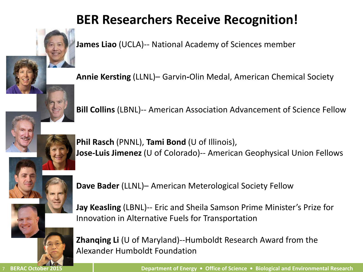# **BER Researchers Receive Recognition!**

**James Liao** (UCLA)-- National Academy of Sciences member

**Annie Kersting** (LLNL)– Garvin**-**Olin Medal, American Chemical Society



**Bill Collins** (LBNL)-- American Association Advancement of Science Fellow



**Phil Rasch** (PNNL), **Tami Bond** (U of Illinois), **Jose-Luis Jimenez** (U of Colorado)-- American Geophysical Union Fellows



**Dave Bader** (LLNL)– American Meterological Society Fellow



**Jay Keasling** (LBNL)-- Eric and Sheila Samson Prime Minister's Prize for Innovation in Alternative Fuels for Transportation

**Zhanqing Li** (U of Maryland)--Humboldt Research Award from the Alexander Humboldt Foundation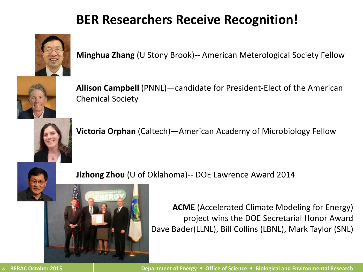# **BER Researchers Receive Recognition!**



**Minghua Zhang** (U Stony Brook)-- American Meterological Society Fellow



**Allison Campbell** (PNNL)—candidate for President-Elect of the American Chemical Society



**Victoria Orphan** (Caltech)—American Academy of Microbiology Fellow



**Jizhong Zhou** (U of Oklahoma)-- DOE Lawrence Award 2014



**ACME** (Accelerated Climate Modeling for Energy) project wins the DOE Secretarial Honor Award Dave Bader(LLNL), Bill Collins (LBNL), Mark Taylor (SNL)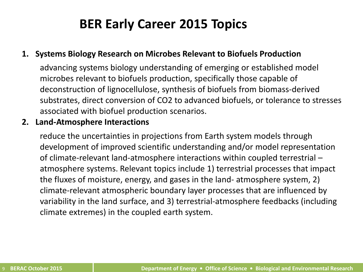# **BER Early Career 2015 Topics**

### **1. Systems Biology Research on Microbes Relevant to Biofuels Production**

advancing systems biology understanding of emerging or established model microbes relevant to biofuels production, specifically those capable of deconstruction of lignocellulose, synthesis of biofuels from biomass-derived substrates, direct conversion of CO2 to advanced biofuels, or tolerance to stresses associated with biofuel production scenarios.

### **2. Land-Atmosphere Interactions**

reduce the uncertainties in projections from Earth system models through development of improved scientific understanding and/or model representation of climate-relevant land-atmosphere interactions within coupled terrestrial – atmosphere systems. Relevant topics include 1) terrestrial processes that impact the fluxes of moisture, energy, and gases in the land- atmosphere system, 2) climate-relevant atmospheric boundary layer processes that are influenced by variability in the land surface, and 3) terrestrial-atmosphere feedbacks (including climate extremes) in the coupled earth system.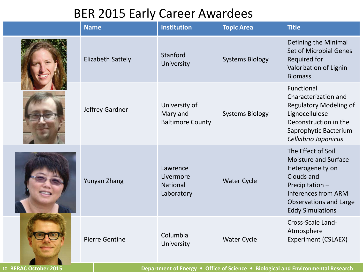### BER 2015 Early Career Awardees

| <b>Name</b>              | <b>Institution</b>                                   | <b>Topic Area</b>      | <b>Title</b>                                                                                                                                                                                    |
|--------------------------|------------------------------------------------------|------------------------|-------------------------------------------------------------------------------------------------------------------------------------------------------------------------------------------------|
| <b>Elizabeth Sattely</b> | Stanford<br>University                               | <b>Systems Biology</b> | Defining the Minimal<br><b>Set of Microbial Genes</b><br>Required for<br>Valorization of Lignin<br><b>Biomass</b>                                                                               |
| Jeffrey Gardner          | University of<br>Maryland<br><b>Baltimore County</b> | <b>Systems Biology</b> | Functional<br>Characterization and<br><b>Regulatory Modeling of</b><br>Lignocellulose<br>Deconstruction in the<br>Saprophytic Bacterium<br>Cellvibrio Japonicus                                 |
| Yunyan Zhang             | Lawrence<br>Livermore<br>National<br>Laboratory      | <b>Water Cycle</b>     | The Effect of Soil<br><b>Moisture and Surface</b><br>Heterogeneity on<br>Clouds and<br>Precipitation-<br><b>Inferences from ARM</b><br><b>Observations and Large</b><br><b>Eddy Simulations</b> |
| <b>Pierre Gentine</b>    | Columbia<br>University                               | <b>Water Cycle</b>     | Cross-Scale Land-<br>Atmosphere<br><b>Experiment (CSLAEX)</b>                                                                                                                                   |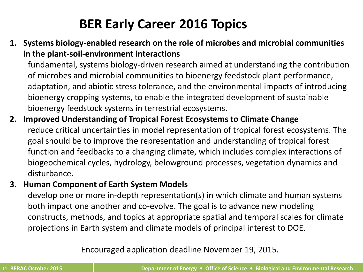# **BER Early Career 2016 Topics**

**1. Systems biology-enabled research on the role of microbes and microbial communities in the plant-soil-environment interactions**

fundamental, systems biology-driven research aimed at understanding the contribution of microbes and microbial communities to bioenergy feedstock plant performance, adaptation, and abiotic stress tolerance, and the environmental impacts of introducing bioenergy cropping systems, to enable the integrated development of sustainable bioenergy feedstock systems in terrestrial ecosystems.

**2. Improved Understanding of Tropical Forest Ecosystems to Climate Change** reduce critical uncertainties in model representation of tropical forest ecosystems. The goal should be to improve the representation and understanding of tropical forest function and feedbacks to a changing climate, which includes complex interactions of biogeochemical cycles, hydrology, belowground processes, vegetation dynamics and disturbance.

### **3. Human Component of Earth System Models**

develop one or more in-depth representation(s) in which climate and human systems both impact one another and co-evolve. The goal is to advance new modeling constructs, methods, and topics at appropriate spatial and temporal scales for climate projections in Earth system and climate models of principal interest to DOE.

Encouraged application deadline November 19, 2015.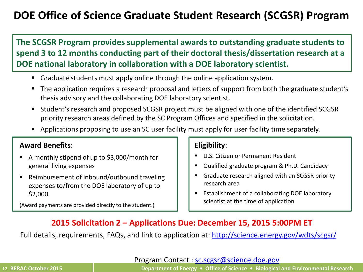### **DOE Office of Science Graduate Student Research (SCGSR) Program**

**The SCGSR Program provides supplemental awards to outstanding graduate students to spend 3 to 12 months conducting part of their doctoral thesis/dissertation research at a DOE national laboratory in collaboration with a DOE laboratory scientist.** 

- Graduate students must apply online through the online application system.
- The application requires a research proposal and letters of support from both the graduate student's thesis advisory and the collaborating DOE laboratory scientist.
- Student's research and proposed SCGSR project must be aligned with one of the identified SCGSR priority research areas defined by the SC Program Offices and specified in the solicitation.
- **Applications proposing to use an SC user facility must apply for user facility time separately.**

### **Award Benefits**:

- A monthly stipend of up to \$3,000/month for general living expenses
- Reimbursement of inbound/outbound traveling expenses to/from the DOE laboratory of up to \$2,000.

(Award payments are provided directly to the student.)

### **Eligibility**:

- U.S. Citizen or Permanent Resident
- Qualified graduate program & Ph.D. Candidacy
- Graduate research aligned with an SCGSR priority research area
- **Extrablishment of a collaborating DOE laboratory** scientist at the time of application

### **2015 Solicitation 2 – Applications Due: December 15, 2015 5:00PM ET**

Full details, requirements, FAQs, and link to application at:<http://science.energy.gov/wdts/scgsr/>

Program Contact : [sc.scgsr@science.doe.gov](mailto:sc.scgsr@science.doe.gov)